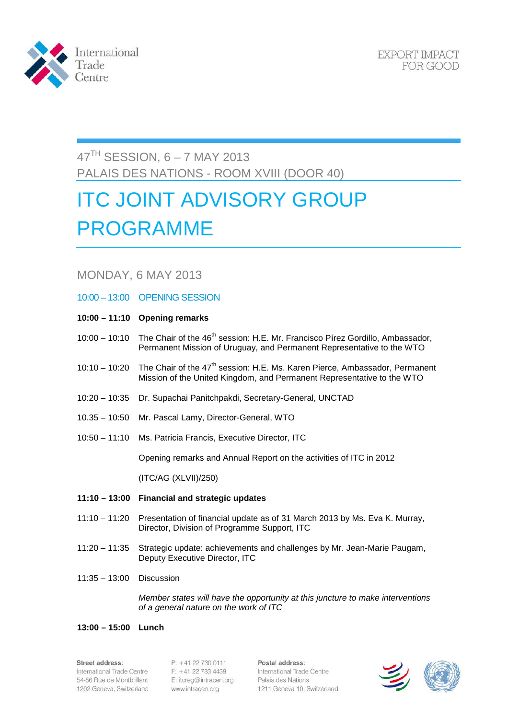

EXPORT IMPACT FOR GOOD

# 47TH SESSION, 6 – 7 MAY 2013 PALAIS DES NATIONS - ROOM XVIII (DOOR 40)

# ITC JOINT ADVISORY GROUP PROGRAMME

# MONDAY, 6 MAY 2013

- 10:00 13:00 OPENING SESSION
- **10:00 – 11:10 Opening remarks**
- 10:00 10:10 The Chair of the 46<sup>th</sup> session: H.E. Mr. Francisco Pírez Gordillo, Ambassador, Permanent Mission of Uruguay, and Permanent Representative to the WTO
- 10:10 10:20 The Chair of the  $47<sup>th</sup>$  session: H.E. Ms. Karen Pierce, Ambassador, Permanent Mission of the United Kingdom, and Permanent Representative to the WTO
- 10:20 10:35 Dr. Supachai Panitchpakdi, Secretary-General, UNCTAD
- 10.35 10:50 Mr. Pascal Lamy, Director-General, WTO
- 10:50 11:10 Ms. Patricia Francis, Executive Director, ITC

Opening remarks and Annual Report on the activities of ITC in 2012

(ITC/AG (XLVII)/250)

- **11:10 – 13:00 Financial and strategic updates**
- 11:10 11:20 Presentation of financial update as of 31 March 2013 by Ms. Eva K. Murray, Director, Division of Programme Support, ITC
- 11:20 11:35 Strategic update: achievements and challenges by Mr. Jean-Marie Paugam, Deputy Executive Director, ITC
- 11:35 13:00 Discussion

*Member states will have the opportunity at this juncture to make interventions of a general nature on the work of ITC*

## **13:00 – 15:00 Lunch**

#### Street address:

International Trade Centre 54-56 Rue de Montbrillant 1202 Geneva, Switzerland

P: +41 22 730 0111 F: +41 22 733 4439 E: itcreg@intracen.org www.intracen.org

Postal address: International Trade Centre Palais des Nations 1211 Geneva 10, Switzerland